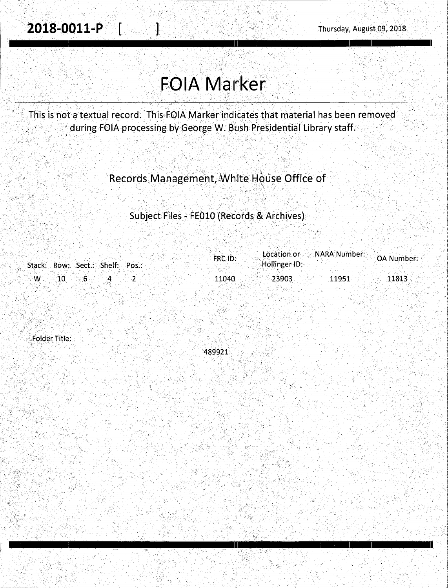# **FOIA Marker**

This is not a textual record. This FOIA Marker indicates that material has been removed during FOIA processing by George W. Bush Presidential Library staff.

# Records Management, White House Office of

# Subject Files - FE010 (Records & Archives)

|                                          | FRC ID:         | $\blacksquare$ Location or $\blacksquare$ $\blacksquare$ $\blacksquare$ $\blacksquare$ $\blacksquare$ $\blacksquare$ $\blacksquare$<br>OA Number: |
|------------------------------------------|-----------------|---------------------------------------------------------------------------------------------------------------------------------------------------|
| Stack: Row: Sect.: Shelf: Pos.:          | Hollinger ID:   |                                                                                                                                                   |
|                                          |                 |                                                                                                                                                   |
| $\mathbb{C} \mathbb{W} \rightarrow 10$ . | 11040<br>-23903 | 11951<br>11813                                                                                                                                    |

**Folder Title:** 

489921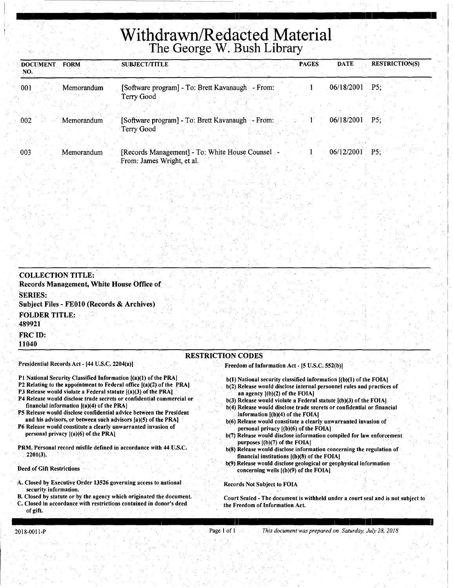# **Withdrawn/Redacted Material**  The George W. Bush Library

| <b>DOCUMENT</b><br><b>FORM</b><br>NO. | <b>PAGES</b><br><b>SUBJECT/TITLE</b>                           | <b>RESTRICTION(S)</b><br><b>DATE</b> |
|---------------------------------------|----------------------------------------------------------------|--------------------------------------|
| 001<br>Memorandum                     | [Software program] - To: Brett Kavanaugh - From:<br>Terry Good | $06/18/2001$ P5;                     |
| 002                                   | [Software program] - To: Brett Kavanaugh - From:               | 06/18/2001                           |
| Memorandum                            | Terry Good                                                     | P5:                                  |
| 003                                   | [Records Management] - To: White House Counsel -               | 06/12/2001                           |
| Memorandum                            | From: James Wright, et al.                                     | $P5$ ;                               |

| Records Management, White House Office of<br><b>SERIES:</b>                                                       |                                                                                                                      |  |
|-------------------------------------------------------------------------------------------------------------------|----------------------------------------------------------------------------------------------------------------------|--|
| Subject Files - FE010 (Records & Archives)                                                                        |                                                                                                                      |  |
| <b>FOLDER TITLE:</b><br>489921                                                                                    |                                                                                                                      |  |
| FRC ID:<br>11040                                                                                                  |                                                                                                                      |  |
|                                                                                                                   | <b>RESTRICTION CODES</b>                                                                                             |  |
| Presidential Records Act - [44 U.S.C. 2204(a)]<br>P1 National Security Classified Information [(a)(1) of the PRA] | Freedom of Information Act - [5 U.S.C. 552(b)]<br>b(1) National security classified information [(b)(1) of the FOIA] |  |

- financial information [(a)(4) of the PRA) PS Release would disclose confidential advice between the President and his advisors, or between such advisors [a)(5) of the PRA]
- P6 Release would constitute a clearly unwarranted invasion of personal privacy [(a)(6) of the PRA]
- PRM, Personal record misfile defined in accordance with 44 U.S.C. 2201(3).

Deed of Gift Restrictions

- A. Closed by Executive Order 13526 governing access to national security information.
- B. Closed by statute or by the agency which originated the document. C. Closed in accordance with restrictions contained in donor's deed of gift.
- b(3) Release would violate a Federal statute [(b)(3) of the FOIA]
- b(4) Release would disclose trade secrets or confidential or financial information [(b)(4) of the FOIA)

I

- b(6) Release would constitute a clearly unwarranted invasion of personal privacy  $[(b)(6)$  of the FOIA]
- b(7) Release would disclose information compiled for law. enforcement purposes  $[(b)(7)$  of the FOIA]
- b(S) Release would disclose information concerning the regulation of financial institutions [(b)(S) of the FOIA)
- b(9) Release would disclose geological or geophysical information concerning wells [(b)(9) of the FOIA]

Records Not Subject to FOIA

Court Sealed - The document is withheld under a court seal and is not subject to the Freedom of Information Act.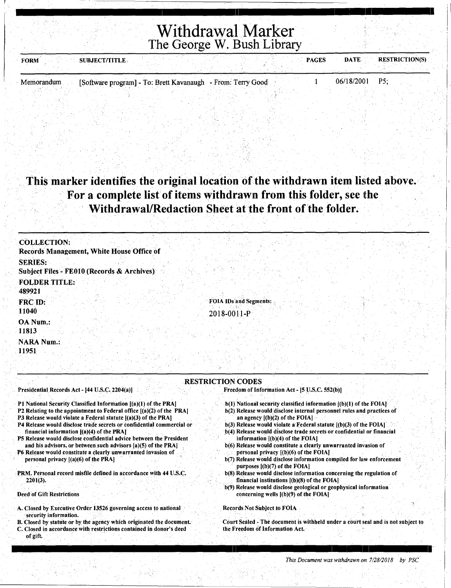# Withdrawal Marker The George W. Bush Library

| <b>FORM</b> | <b>SUBJECT/TITLE</b>                                        |  | <b>PAGES</b> | <b>DATE</b>      | <b>RESTRICTION(S)</b> |
|-------------|-------------------------------------------------------------|--|--------------|------------------|-----------------------|
|             |                                                             |  |              |                  |                       |
| Memorandum  | [Software program] - To: Brett Kavanaugh - From: Terry Good |  |              | $06/18/2001$ P5; |                       |

### This marker identifies the original location of the withdrawn item listed above. For a complete list of items withdrawn from this folder, see the Withdrawal/Redaction Sheet at the front of the folder.

| <b>COLLECTION:</b><br>Records Management, White House Office of |                                       |  |
|-----------------------------------------------------------------|---------------------------------------|--|
| <b>SERIES:</b><br>Subject Files - FE010 (Records & Archives)    |                                       |  |
| <b>FOLDER TITLE:</b><br>489921                                  |                                       |  |
| FRC ID:<br>11040                                                | FOIA IDs and Segments:<br>2018-0011-P |  |
| OA Num.:<br>11813                                               |                                       |  |
| <b>NARA Num.:</b><br>11951                                      |                                       |  |
|                                                                 |                                       |  |

#### . RESTRICTION CODES

Presidential. Records Act - (44 U.S.C. 2204(a))

#### P1 National Security Classified Information [(a)(1) of the PRA]

- P2 Relating to the appointment to Federal office ((a)(2) of the PRA)
- P3 Release would violate a Federal statute [(a)(3) of the PRA]
- P4 Release would disclose trade secrets or confidential commercial or financial information [(a)(4) of the PRA)
- PS Release would disclose confidential advice between the President and his advisors, or between such advisors [a)(5) of the PRA]
- P6 Release would constitute a clearly unwarranted invasion of personal privacy  $[(a)(6)$  of the PRA $]$
- PRM. Personal record misfile defined in accordance with 44 U.S.C. 2201(3).

Deed of Gift Restrictions

of gift,

- A. Closed by Executive Order 13526 governing access to national security information.
- B. Closed by statute or by the agency which originated the document. C. Closed in accordance with restrictions contained in donor's deed

b(l) National security classified information [(b)(l) of the FOIA) b(2) Release would.disclose internal personnel rules and practices of

Freedom of Information Act - [5 U.S.C. 552(b)]

- an agency  $[(b)(2)$  of the FOIA]
- b(3) Release would violate a Federal statute [(b)(3) of the FOIA]
- b(4) Release would disclose trade secrets or confidential or financial information [(b)(4) of the FOIA)
- b(6) Release would constitute a clearly unwarranted invasion of personal privacy [(b)(6) of the FOIA)
- b(7) Release would disclose information compiled for law enforcement purposes [(b)(7) of the FOIAJ
- b(8) Release would disclose information concerning the regulation of financial institutions [(b)(8) of the FOIA)
- b(9) Release would disclose geological or geophysical information· concerning wells [(b)(9) of the FOIA]

Records Not Subject to FOiA

Court Sealed - The document is withheld under a court seal and is not subject to the Freedom of Information Act.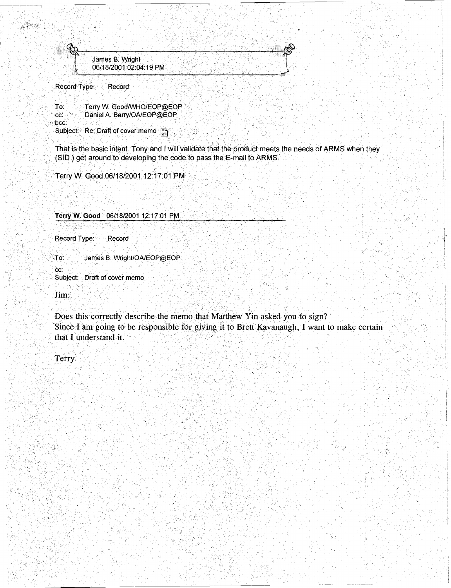$\sim$ ... ·::  $\sim$   $+$  . . . ., James B. Wright 06/18/2001 02:04:19 PM

Record Type: Record

స్కోస్తో

To: cc: bee: Terry W. Good/WHO/EOP@EOP Daniel A. Barry/OA/EOP@EOP Subject Re: Draft of cover memo

That is the basic intent. Tony and I will validate that the product meets the needs of ARMS when they (SID) get around to developing the code to pass the E-mail to ARMS.

Terry W. Good 06/18/2001 12:17:01 PM

Terry W. Good <sup>06/18/2001 12:17:01 PM</sup>

Record Type: Record

To: James B. Wright/OA/EOP@EOP

Subject:. Draft of cover memo

Jim:' .. . ,' .

ec:

Does this correctly describe the memo that Matthew Yin asked you to sign? Since I am going to be responsible for giving it to Brett Kavanaugh, I want to make certain that I understand it.

 $i$  ;  $i$  ;  $\cdot$ 

'.J

Terry.

 $, \,$ 

. ' ~ *!,* 

: '-: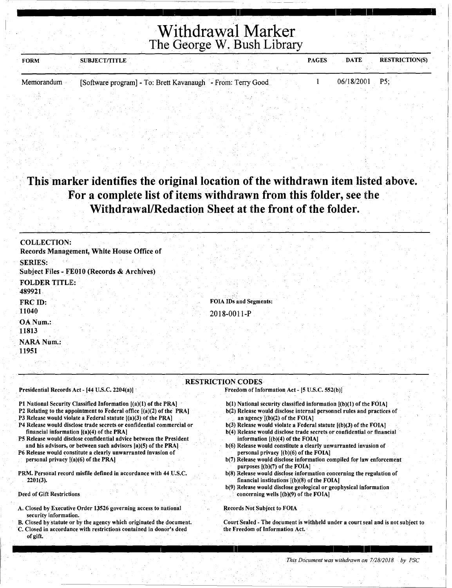Withdrawal Marker The George W. Bush Library

<u>I 'n genoemde van die 1de eeu nas die gewone van die 1dee eeu n.C. In die geskie het was die 11de eeu n.C. In i</u>

| <b>FORM</b> | <b>SUBJECT/TITLE</b>                                        |  |  | <b>PAGES</b> | DATE           | <b>RESTRICTION(S)</b> |
|-------------|-------------------------------------------------------------|--|--|--------------|----------------|-----------------------|
|             |                                                             |  |  |              |                |                       |
| Memorandum  | [Software program] - To: Brett Kavanaugh - From: Terry Good |  |  |              | 06/18/2001 P5: |                       |

## This marker identifies the original location of the withdrawn item listed above. For a complete list of items withdrawn from this folder, see the Withdrawal/Redaction Sheet at the front of the folder.

| <b>COLLECTION:</b>                                                                                                                          |                                                                                                                     |
|---------------------------------------------------------------------------------------------------------------------------------------------|---------------------------------------------------------------------------------------------------------------------|
| Records Management, White House Office of                                                                                                   |                                                                                                                     |
| <b>SERIES:</b>                                                                                                                              |                                                                                                                     |
| Subject Files - FE010 (Records & Archives)                                                                                                  |                                                                                                                     |
| <b>FOLDER TITLE:</b>                                                                                                                        |                                                                                                                     |
| 489921                                                                                                                                      |                                                                                                                     |
| FRC ID:                                                                                                                                     | <b>FOIA IDs and Segments:</b>                                                                                       |
| 11040                                                                                                                                       | 2018-0011-P                                                                                                         |
| OA Num.:                                                                                                                                    |                                                                                                                     |
| 11813                                                                                                                                       |                                                                                                                     |
| <b>NARA Num.:</b>                                                                                                                           |                                                                                                                     |
| 11951                                                                                                                                       |                                                                                                                     |
|                                                                                                                                             |                                                                                                                     |
|                                                                                                                                             |                                                                                                                     |
|                                                                                                                                             | <b>RESTRICTION CODES</b>                                                                                            |
| Presidential Records Act - [44 U.S.C. 2204(a)]                                                                                              | Freedom of Information Act - [5 U.S.C. 552(b)]                                                                      |
| P1 National Security Classified Information [(a)(1) of the PRA]                                                                             | b(1) National security classified information [(b)(1) of the FOIA]                                                  |
| P2 Relating to the appointment to Federal office $[(a)(2)$ of the PRA]                                                                      | b(2) Release would disclose internal personnel rules and practices of                                               |
| P3 Release would violate a Federal statute [(a)(3) of the PRA]<br>P4 Release would disclose trade secrets or confidential commercial or     | an agency $[(b)(2)$ of the FOIA]<br>$b(3)$ Release would violate a Federal statute $[(b)(3)$ of the FOIA]           |
| financial information $[(a)(4)$ of the PRA]                                                                                                 | b(4) Release would disclose trade secrets or confidential or financial                                              |
| P5 Release would disclose confidential advice between the President                                                                         | information $[(b)(4)$ of the FOIA]                                                                                  |
| and his advisors, or between such advisors [a)(5) of the PRA]<br>P6 Release would constitute a clearly unwarranted invasion of              | b(6) Release would constitute a clearly unwarranted invasion of<br>personal privacy [(b)(6) of the FOIA]            |
| personal privacy [(a)(6) of the PRA]                                                                                                        | b(7) Release would disclose information compiled for law enforcement                                                |
| PRM. Personal record misfile defined in accordance with 44 U.S.C.                                                                           | purposes $[(b)(7)$ of the FOIA]<br>b(8) Release would disclose information concerning the regulation of             |
| $2201(3)$ .                                                                                                                                 | financial institutions [(b)(8) of the FOIA]                                                                         |
| Deed of Gift Restrictions                                                                                                                   | b(9) Release would disclose geological or geophysical information<br>concerning wells $($ b $)(9)$ of the FOIA $]$  |
|                                                                                                                                             |                                                                                                                     |
| A. Closed by Executive Order 13526 governing access to national<br>security information.                                                    | <b>Records Not Subject to FOIA</b>                                                                                  |
| B. Closed by statute or by the agency which originated the document.<br>C. Closed in accordance with restrictions contained in donor's deed | Court Sealed - The document is withheld under a court seal and is not subject to<br>the Freedom of Information Act. |
| of gift.                                                                                                                                    |                                                                                                                     |

I 11 I : I I